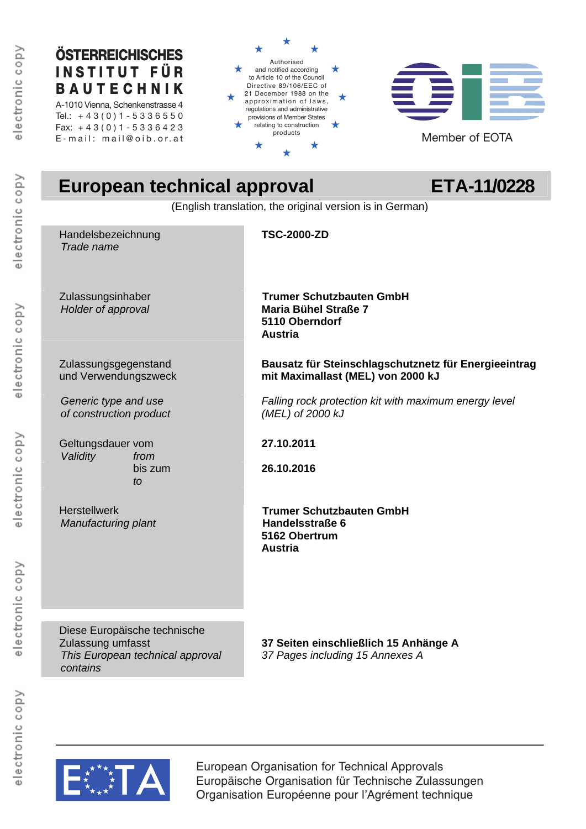electronic copy

electronic copy

electronic copy

#### **ÖSTERREICHISCHES I N S T I T U T F Ü R B A U T E C H N I K** A-1010 Vienna, Schenkenstrasse 4

Tel.:  $+43(0)1-5336550$ Fax: + 4 3 ( 0 ) 1 - 5 3 3 6 4 2 3 E-mail: mail@oib.or.at products products and member of EOTA





# **European technical approval ETA-11/0228**

(English translation, the original version is in German)

**TSC-2000-ZD** 

| Handelsbezeichnung |  |
|--------------------|--|
| Trade name         |  |

Zulassungsinhaber *Holder of approval*

Zulassungsgegenstand und Verwendungszweck

*Generic type and use of construction product*

Geltungsdauer vom *Validity from* bis zum *to*

**Herstellwerk** *Manufacturing plant*

Diese Europäische technische Zulassung umfasst *This European technical approval contains*

**Trumer Schutzbauten GmbH Maria Bühel Straße 7 5110 Oberndorf Austria**

**Bausatz für Steinschlagschutznetz für Energieeintrag mit Maximallast (MEL) von 2000 kJ** 

*Falling rock protection kit with maximum energy level (MEL) of 2000 kJ* 

**27.10.2011** 

**26.10.2016** 

**Trumer Schutzbauten GmbH Handelsstraße 6 5162 Obertrum Austria** 

**37 Seiten einschließlich 15 Anhänge A** *37 Pages including 15 Annexes A* 

electronic copy



European Organisation for Technical Approvals Europäische Organisation für Technische Zulassungen Organisation Européenne pour l'Agrément technique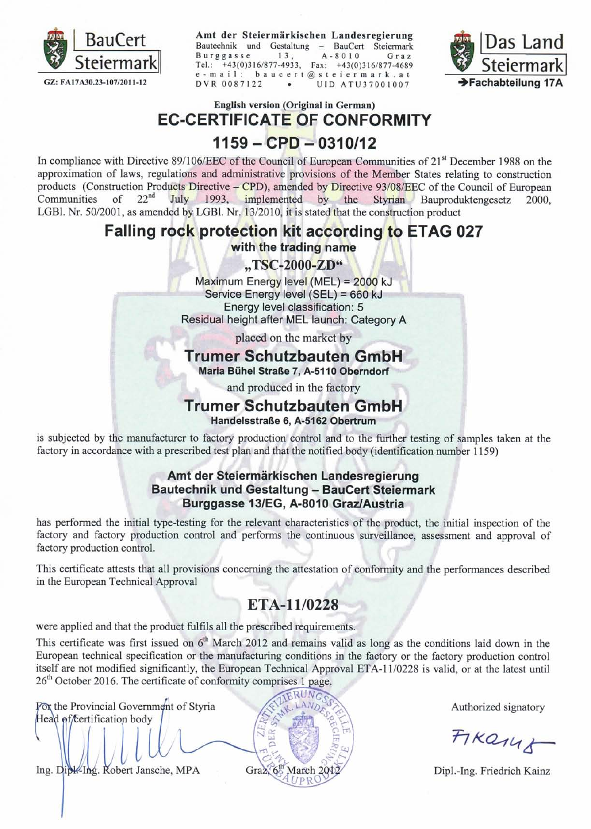

Amt der Steiermärkischen Landesregierung Bautechnik und Gestaltung - BauCert Steiermark  $A - 8010$ **Burggasse**  $13.$ Graz Tel.: +43(0)316/877-4933, Fax: +43(0)316/877-4689 e-mail: baucert@steiermark.at DVR 0087122 UID ATU37001007



#### English version (Original in German) **EC-CERTIFICATE OF CONFORMITY**  $1159 - CPD - 0310/12$

In compliance with Directive 89/106/EEC of the Council of European Communities of 21<sup>st</sup> December 1988 on the approximation of laws, regulations and administrative provisions of the Member States relating to construction products (Construction Products Directive – CPD), amended by Directive 93/08/EEC of the Council of European  $22<sup>nd</sup>$ July 1993, implemented by the Styrian Bauproduktengesetz Communities of 2000. LGBl. Nr. 50/2001, as amended by LGBl. Nr. 13/2010, it is stated that the construction product

### **Falling rock protection kit according to ETAG 027**

with the trading name

"TSC-2000-ZD"

Maximum Energy level (MEL) = 2000 kJ Service Energy level (SEL) = 660 kJ Energy level classification: 5 Residual height after MEL launch: Category A

placed on the market by

# Trumer Schutzbauten GmbH

Maria Bühel Straße 7, A-5110 Oberndorf

and produced in the factory

# **Trumer Schutzbauten GmbH**

Handelsstraße 6, A-5162 Obertrum

is subjected by the manufacturer to factory production control and to the further testing of samples taken at the factory in accordance with a prescribed test plan and that the notified body (identification number 1159)

#### Amt der Steiermärkischen Landesregierung Bautechnik und Gestaltung - BauCert Steiermark Burggasse 13/EG, A-8010 Graz/Austria

has performed the initial type-testing for the relevant characteristics of the product, the initial inspection of the factory and factory production control and performs the continuous surveillance, assessment and approval of factory production control.

This certificate attests that all provisions concerning the attestation of conformity and the performances described in the European Technical Approval

## ETA-11/0228

were applied and that the product fulfils all the prescribed requirements.

This certificate was first issued on 6<sup>th</sup> March 2012 and remains valid as long as the conditions laid down in the European technical specification or the manufacturing conditions in the factory or the factory production control itself are not modified significantly, the European Technical Approval ETA-11/0228 is valid, or at the latest until 26<sup>th</sup> October 2016. The certificate of conformity comprises 1 page.

March 20

Graz 6th

For the Provincial Government of Styria Head of certification body

Ing. Dipl.-Ing. Robert Jansche, MPA

Authorized signatory

FIKQIUS

Dipl.-Ing. Friedrich Kainz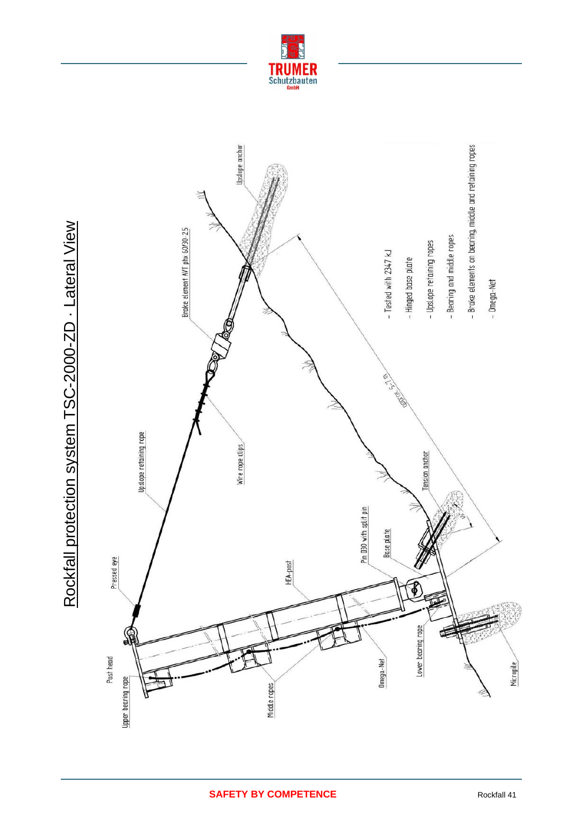



Rockfall protection system TSC-2000-ZD · Lateral View Rockfall protection system TSC-2000-ZD - Lateral View